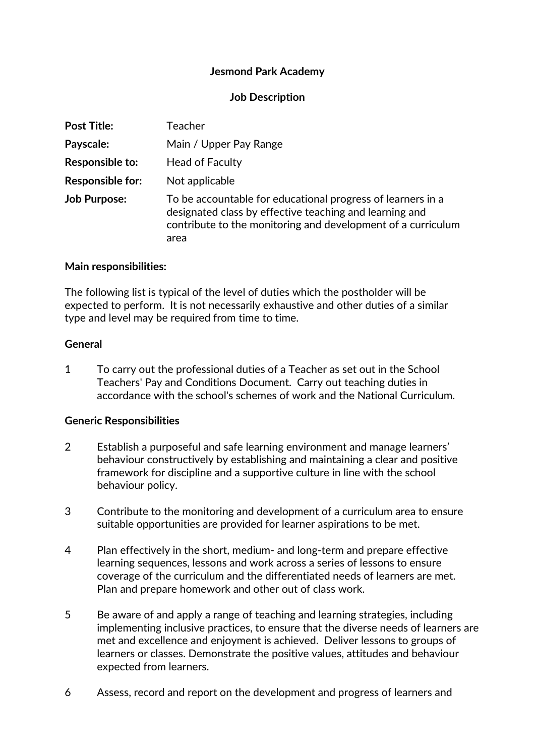# **Jesmond Park Academy**

# **Job Description**

| <b>Post Title:</b>      | <b>Teacher</b>                                                                                                                                                                                 |
|-------------------------|------------------------------------------------------------------------------------------------------------------------------------------------------------------------------------------------|
| Payscale:               | Main / Upper Pay Range                                                                                                                                                                         |
| Responsible to:         | <b>Head of Faculty</b>                                                                                                                                                                         |
| <b>Responsible for:</b> | Not applicable                                                                                                                                                                                 |
| <b>Job Purpose:</b>     | To be accountable for educational progress of learners in a<br>designated class by effective teaching and learning and<br>contribute to the monitoring and development of a curriculum<br>area |

### **Main responsibilities:**

The following list is typical of the level of duties which the postholder will be expected to perform. It is not necessarily exhaustive and other duties of a similar type and level may be required from time to time.

#### **General**

1 To carry out the professional duties of a Teacher as set out in the School Teachers' Pay and Conditions Document. Carry out teaching duties in accordance with the school's schemes of work and the National Curriculum.

### **Generic Responsibilities**

- 2 Establish a purposeful and safe learning environment and manage learners' behaviour constructively by establishing and maintaining a clear and positive framework for discipline and a supportive culture in line with the school behaviour policy.
- 3 Contribute to the monitoring and development of a curriculum area to ensure suitable opportunities are provided for learner aspirations to be met.
- 4 Plan effectively in the short, medium‐ and long‐term and prepare effective learning sequences, lessons and work across a series of lessons to ensure coverage of the curriculum and the differentiated needs of learners are met. Plan and prepare homework and other out of class work.
- 5 Be aware of and apply a range of teaching and learning strategies, including implementing inclusive practices, to ensure that the diverse needs of learners are met and excellence and enjoyment is achieved. Deliver lessons to groups of learners or classes. Demonstrate the positive values, attitudes and behaviour expected from learners.
- 6 Assess, record and report on the development and progress of learners and